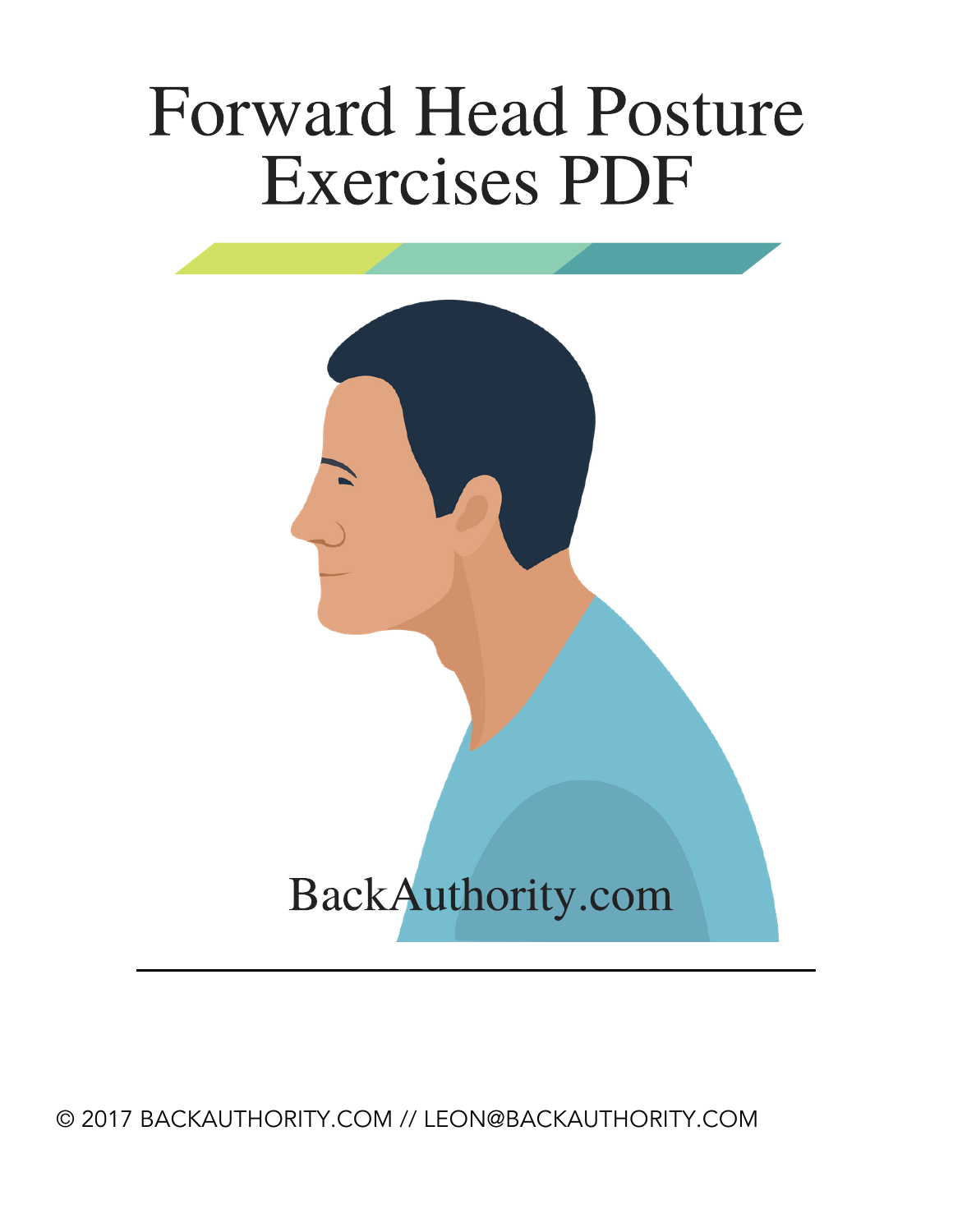# **Forward Head Posture Exercises PDF**

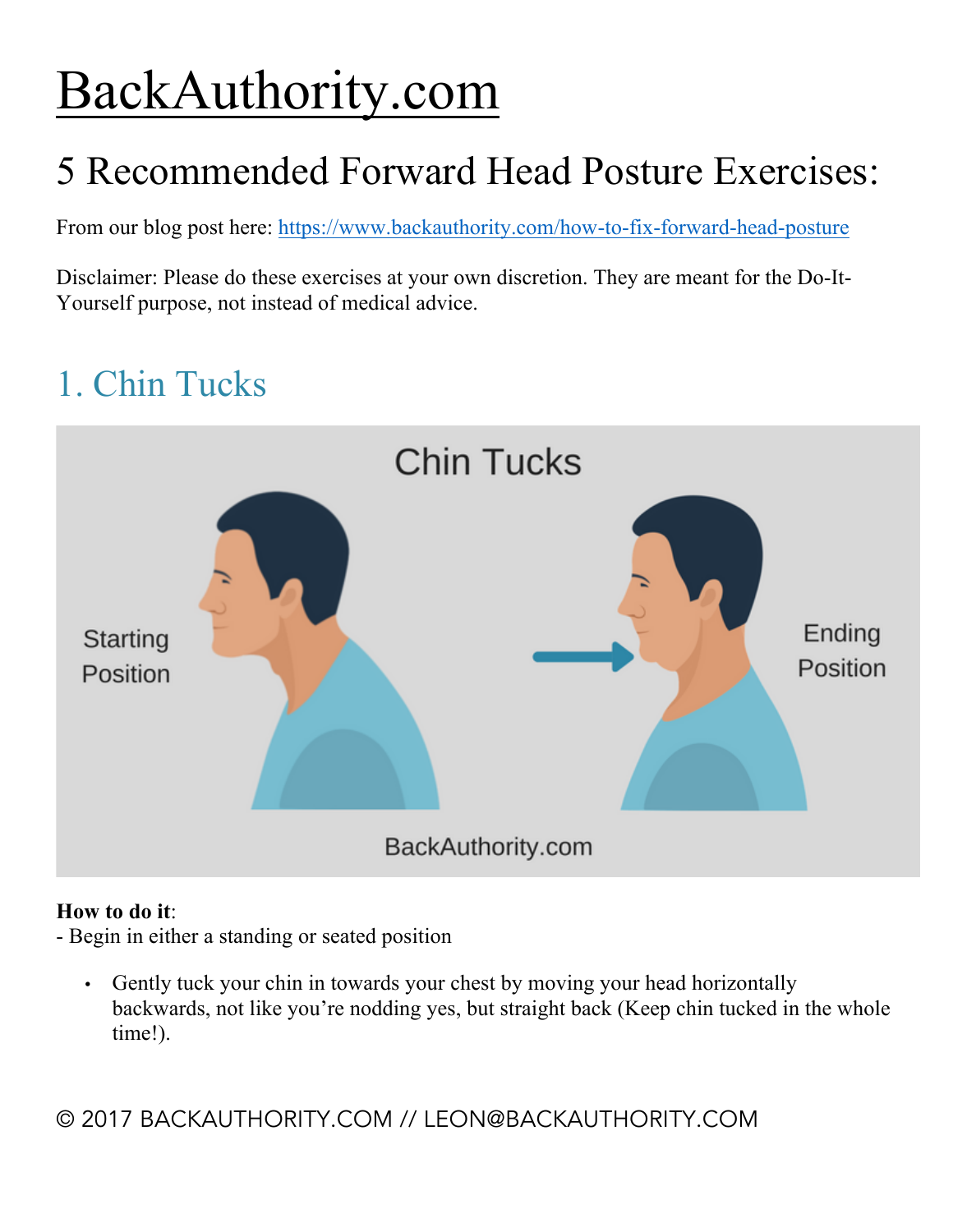## BackAuthority.com

## 5 Recommended Forward Head Posture Exercises:

From our blog post here: https://www.backauthority.com/how-to-fix-forward-head-posture

Disclaimer: Please do these exercises at your own discretion. They are meant for the Do-It-Yourself purpose, not instead of medical advice.

## 1. Chin Tucks



#### **How to do it**:

- Begin in either a standing or seated position

• Gently tuck your chin in towards your chest by moving your head horizontally backwards, not like you're nodding yes, but straight back (Keep chin tucked in the whole time!).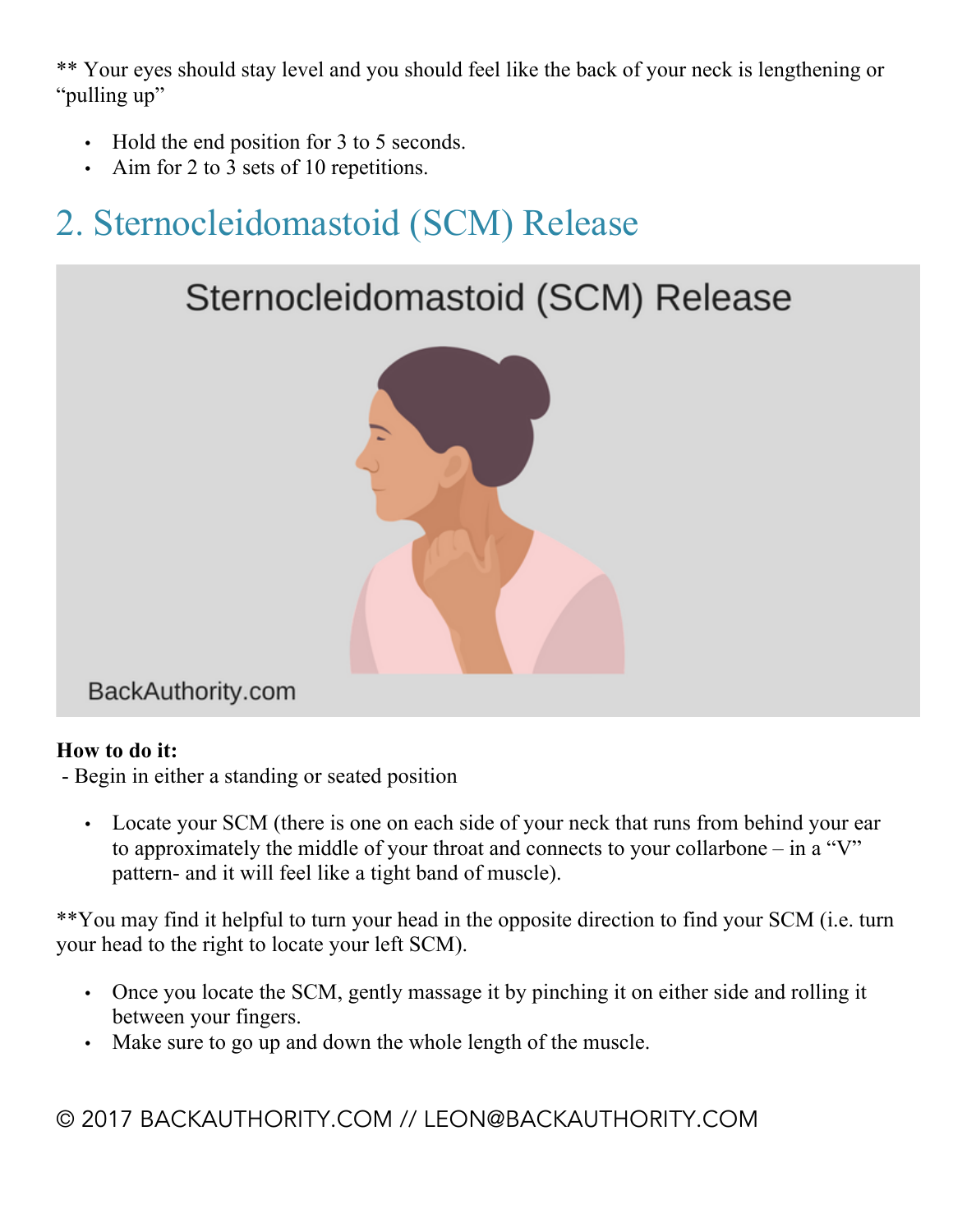\*\* Your eyes should stay level and you should feel like the back of your neck is lengthening or "pulling up"

- Hold the end position for 3 to 5 seconds.
- Aim for 2 to 3 sets of 10 repetitions.

## 2. Sternocleidomastoid (SCM) Release





BackAuthority.com

#### **How to do it:**

- Begin in either a standing or seated position

• Locate your SCM (there is one on each side of your neck that runs from behind your ear to approximately the middle of your throat and connects to your collarbone – in a "V" pattern- and it will feel like a tight band of muscle).

\*\*You may find it helpful to turn your head in the opposite direction to find your SCM (i.e. turn your head to the right to locate your left SCM).

- Once you locate the SCM, gently massage it by pinching it on either side and rolling it between your fingers.
- Make sure to go up and down the whole length of the muscle.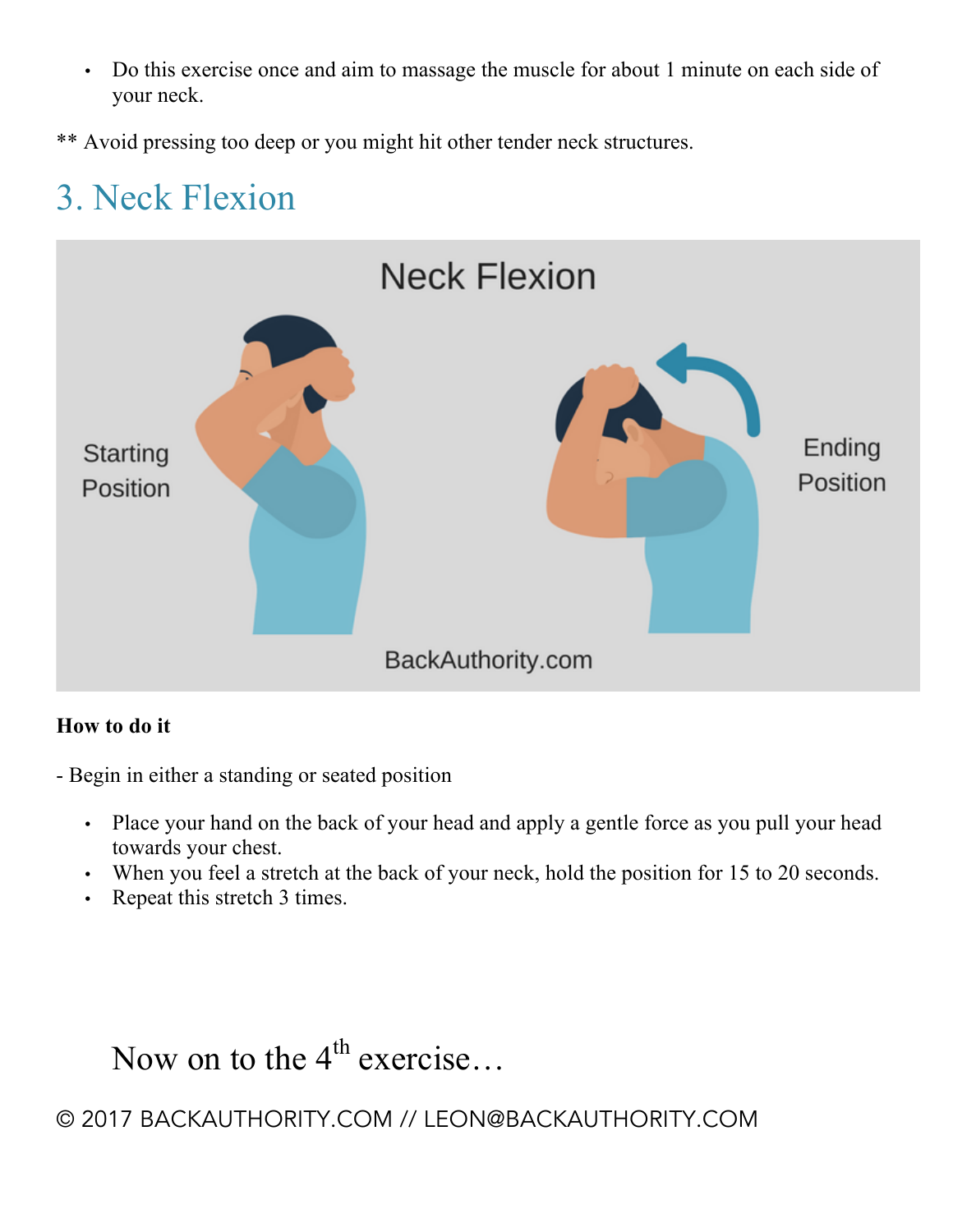• Do this exercise once and aim to massage the muscle for about 1 minute on each side of your neck.

\*\* Avoid pressing too deep or you might hit other tender neck structures.

### 3. Neck Flexion



#### **How to do it**

- Begin in either a standing or seated position

- Place your hand on the back of your head and apply a gentle force as you pull your head towards your chest.
- When you feel a stretch at the back of your neck, hold the position for 15 to 20 seconds.
- Repeat this stretch 3 times.

## Now on to the  $4^{\text{th}}$  exercise...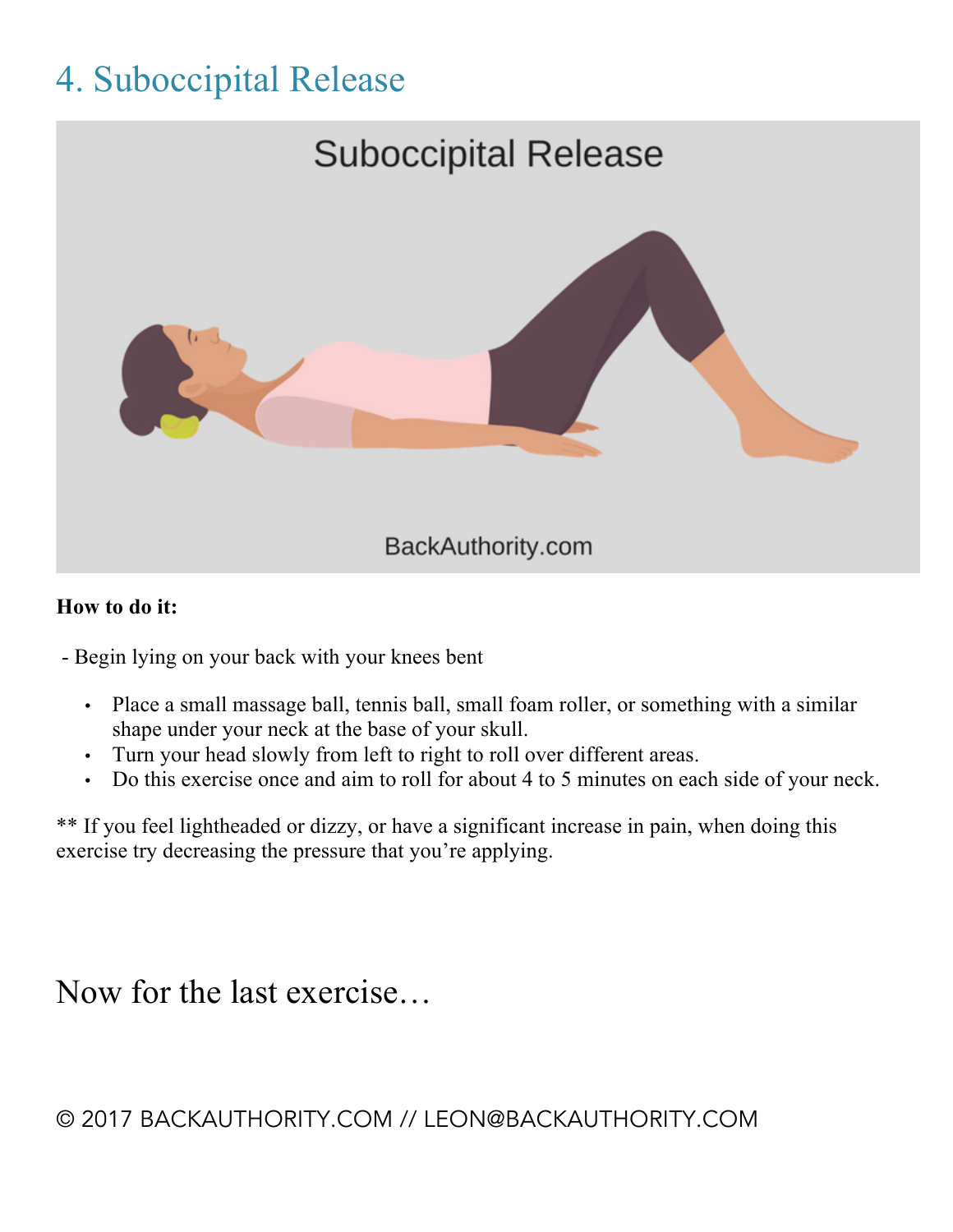## 4. Suboccipital Release



#### **How to do it:**

- Begin lying on your back with your knees bent

- Place a small massage ball, tennis ball, small foam roller, or something with a similar shape under your neck at the base of your skull.
- Turn your head slowly from left to right to roll over different areas.
- Do this exercise once and aim to roll for about 4 to 5 minutes on each side of your neck.

\*\* If you feel lightheaded or dizzy, or have a significant increase in pain, when doing this exercise try decreasing the pressure that you're applying.

Now for the last exercise…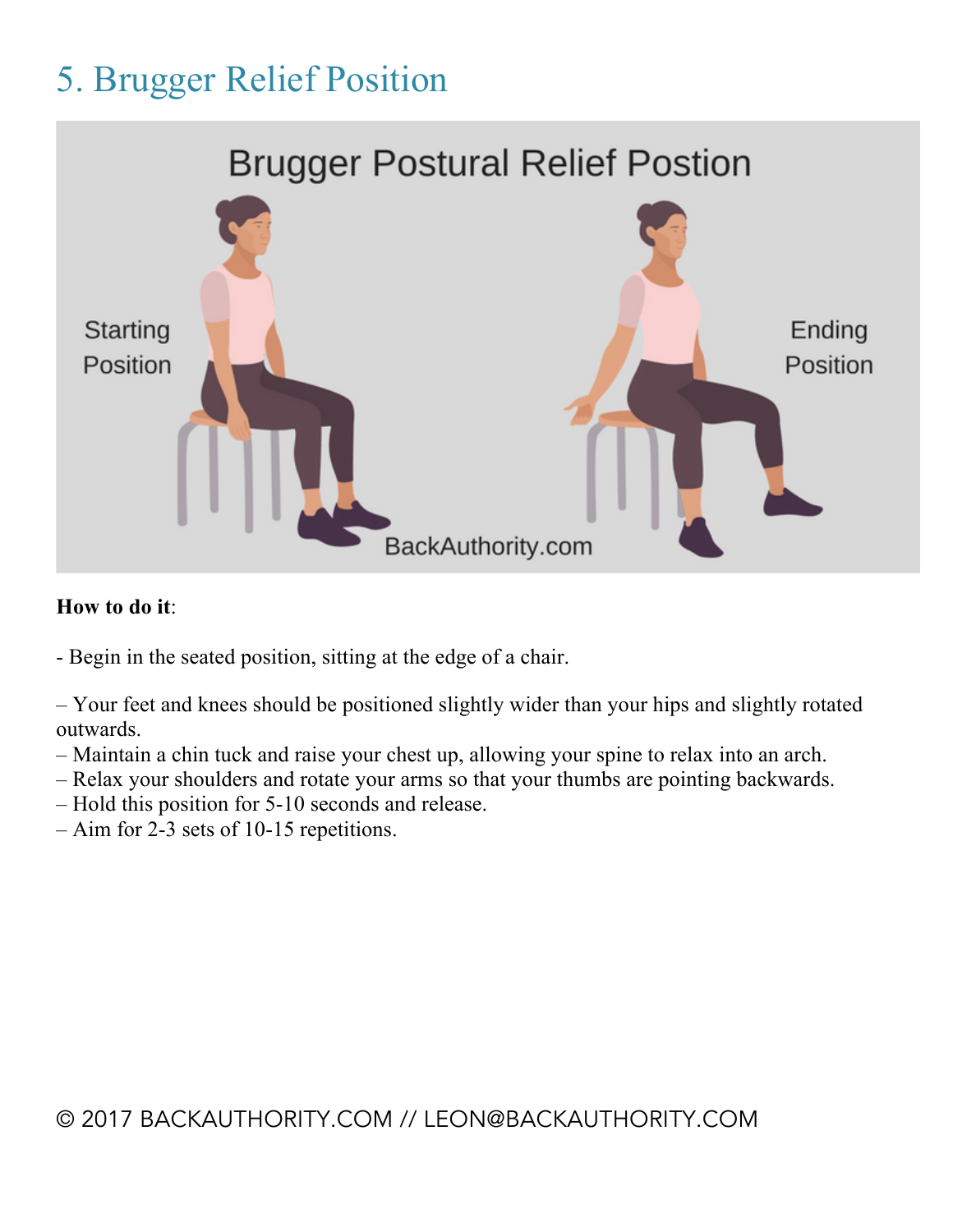## 5. Brugger Relief Position



#### **How to do it**:

- Begin in the seated position, sitting at the edge of a chair.
- Your feet and knees should be positioned slightly wider than your hips and slightly rotated outwards.
- Maintain a chin tuck and raise your chest up, allowing your spine to relax into an arch.
- Relax your shoulders and rotate your arms so that your thumbs are pointing backwards.
- Hold this position for 5-10 seconds and release.
- Aim for 2-3 sets of 10-15 repetitions.